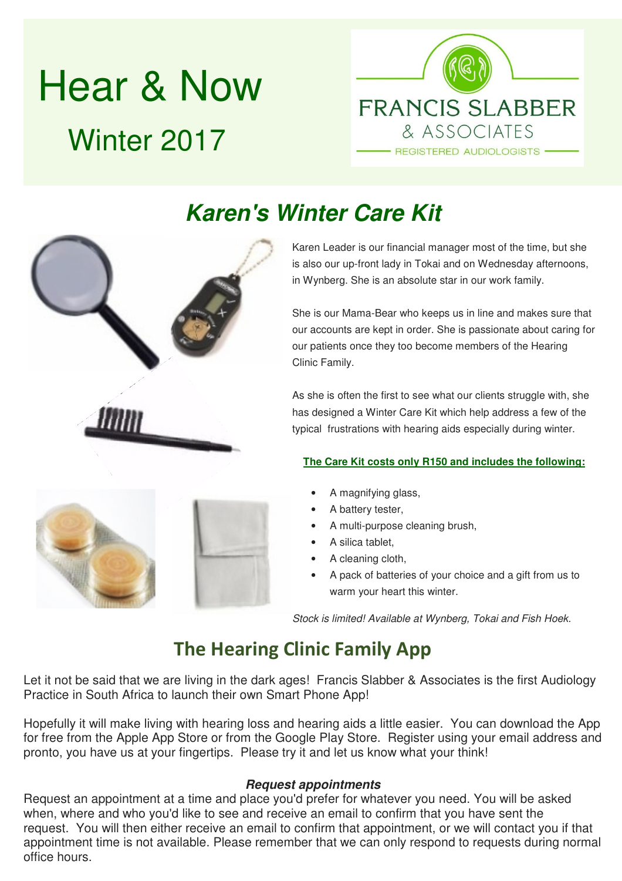# Hear & Now Winter 2017



## **Karen's Winter Care Kit**



She is our Mama-Bear who keeps us in line and makes sure that our accounts are kept in order. She is passionate about caring for our patients once they too become members of the Hearing Clinic Family.

As she is often the first to see what our clients struggle with, she has designed a Winter Care Kit which help address a few of the typical frustrations with hearing aids especially during winter.

#### **The Care Kit costs only R150 and includes the following:**

- A magnifying glass,
- A battery tester,
- A multi-purpose cleaning brush,
- A silica tablet,
- A cleaning cloth,
- A pack of batteries of your choice and a gift from us to warm your heart this winter.

Stock is limited! Available at Wynberg, Tokai and Fish Hoek.

### **The Hearing Clinic Family App**

Let it not be said that we are living in the dark ages! Francis Slabber & Associates is the first Audiology Practice in South Africa to launch their own Smart Phone App!

Hopefully it will make living with hearing loss and hearing aids a little easier. You can download the App for free from the Apple App Store or from the Google Play Store. Register using your email address and pronto, you have us at your fingertips. Please try it and let us know what your think!

#### **Request appointments**

Request an appointment at a time and place you'd prefer for whatever you need. You will be asked when, where and who you'd like to see and receive an email to confirm that you have sent the request. You will then either receive an email to confirm that appointment, or we will contact you if that appointment time is not available. Please remember that we can only respond to requests during normal office hours.